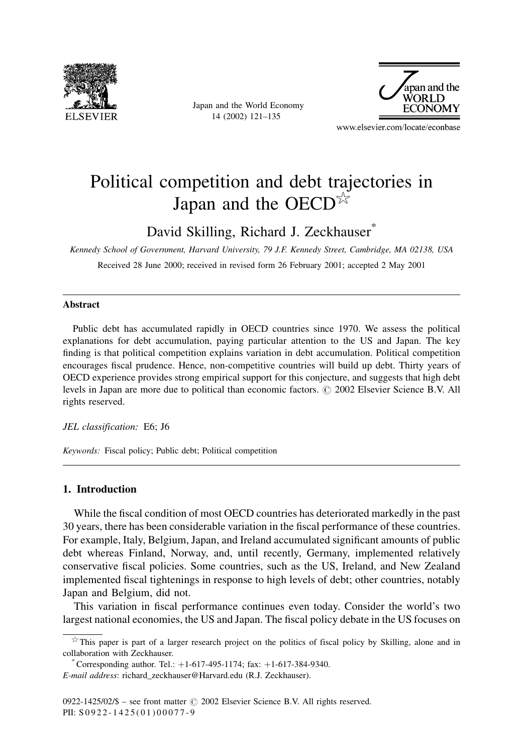

Japan and the World Economy 14 (2002) 121-135



www.elsevier.com/locate/econbase

# Political competition and debt trajectories in Japan and the OECD $\frac{1}{2}$

David Skilling, Richard J. Zeckhauser\*

Kennedy School of Government, Harvard University, 79 J.F. Kennedy Street, Cambridge, MA 02138, USA Received 28 June 2000; received in revised form 26 February 2001; accepted 2 May 2001

#### **Abstract**

Public debt has accumulated rapidly in OECD countries since 1970. We assess the political explanations for debt accumulation, paying particular attention to the US and Japan. The key finding is that political competition explains variation in debt accumulation. Political competition encourages fiscal prudence. Hence, non-competitive countries will build up debt. Thirty years of OECD experience provides strong empirical support for this conjecture, and suggests that high debt levels in Japan are more due to political than economic factors. © 2002 Elsevier Science B.V. All rights reserved.

JEL classification: E6; J6

Keywords: Fiscal policy; Public debt; Political competition

# 1. Introduction

While the fiscal condition of most OECD countries has deteriorated markedly in the past 30 years, there has been considerable variation in the fiscal performance of these countries. For example, Italy, Belgium, Japan, and Ireland accumulated significant amounts of public debt whereas Finland, Norway, and, until recently, Germany, implemented relatively conservative fiscal policies. Some countries, such as the US, Ireland, and New Zealand implemented fiscal tightenings in response to high levels of debt; other countries, notably Japan and Belgium, did not.

This variation in fiscal performance continues even today. Consider the world's two largest national economies, the US and Japan. The fiscal policy debate in the US focuses on

 $\overrightarrow{x}$  This paper is part of a larger research project on the politics of fiscal policy by Skilling, alone and in collaboration with Zeckhauser.

Corresponding author. Tel.:  $+1-617-495-1174$ ; fax:  $+1-617-384-9340$ . E-mail address: richard\_zeckhauser@Harvard.edu (R.J. Zeckhauser).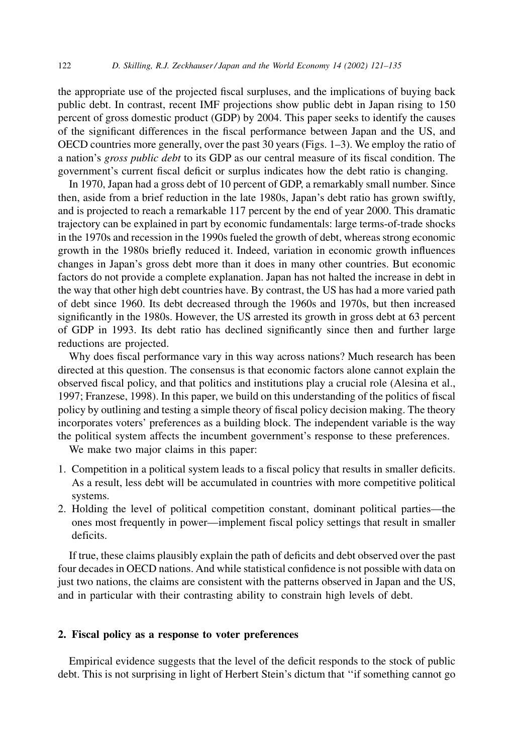the appropriate use of the projected fiscal surpluses, and the implications of buying back public debt. In contrast, recent IMF projections show public debt in Japan rising to 150 percent of gross domestic product (GDP) by 2004. This paper seeks to identify the causes of the significant differences in the fiscal performance between Japan and the US, and OECD countries more generally, over the past 30 years (Figs.  $1-3$ ). We employ the ratio of a nation's *gross public debt* to its GDP as our central measure of its fiscal condition. The government's current fiscal deficit or surplus indicates how the debt ratio is changing.

In 1970, Japan had a gross debt of 10 percent of GDP, a remarkably small number. Since then, aside from a brief reduction in the late 1980s, Japan's debt ratio has grown swiftly, and is projected to reach a remarkable 117 percent by the end of year 2000. This dramatic trajectory can be explained in part by economic fundamentals: large terms-of-trade shocks in the 1970s and recession in the 1990s fueled the growth of debt, whereas strong economic growth in the 1980s briefly reduced it. Indeed, variation in economic growth influences changes in Japan's gross debt more than it does in many other countries. But economic factors do not provide a complete explanation. Japan has not halted the increase in debt in the way that other high debt countries have. By contrast, the US has had a more varied path of debt since 1960. Its debt decreased through the 1960s and 1970s, but then increased significantly in the 1980s. However, the US arrested its growth in gross debt at 63 percent of GDP in 1993. Its debt ratio has declined significantly since then and further large reductions are projected.

Why does fiscal performance vary in this way across nations? Much research has been directed at this question. The consensus is that economic factors alone cannot explain the observed fiscal policy, and that politics and institutions play a crucial role (Alesina et al., 1997; Franzese, 1998). In this paper, we build on this understanding of the politics of fiscal policy by outlining and testing a simple theory of fiscal policy decision making. The theory incorporates voters' preferences as a building block. The independent variable is the way the political system affects the incumbent government's response to these preferences.

We make two major claims in this paper:

122

- 1. Competition in a political system leads to a fiscal policy that results in smaller deficits. As a result, less debt will be accumulated in countries with more competitive political systems.
- 2. Holding the level of political competition constant, dominant political parties—the ones most frequently in power—implement fiscal policy settings that result in smaller deficits.

If true, these claims plausibly explain the path of deficits and debt observed over the past four decades in OECD nations. And while statistical confidence is not possible with data on just two nations, the claims are consistent with the patterns observed in Japan and the US, and in particular with their contrasting ability to constrain high levels of debt.

# 2. Fiscal policy as a response to voter preferences

Empirical evidence suggests that the level of the deficit responds to the stock of public debt. This is not surprising in light of Herbert Stein's dictum that "if something cannot go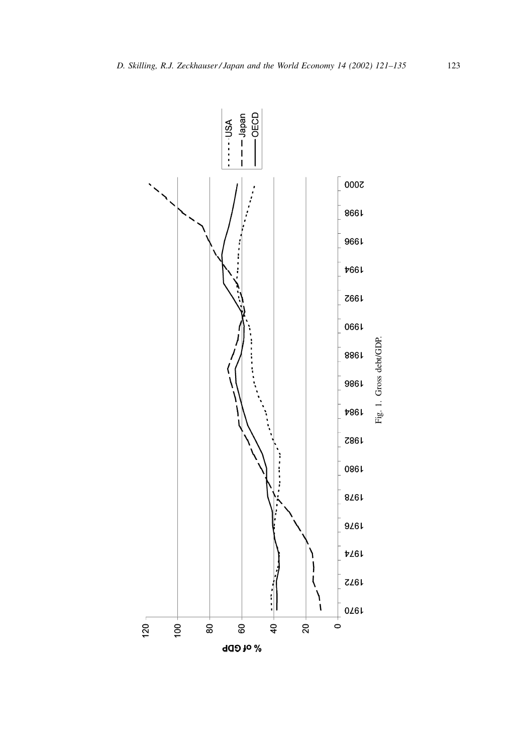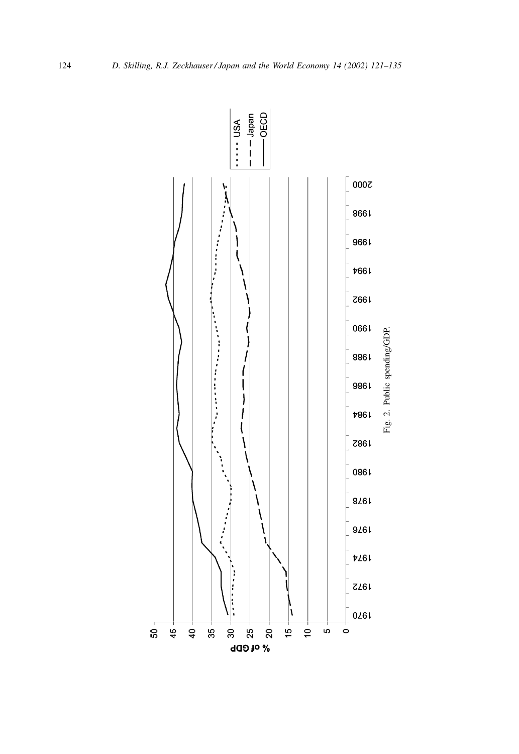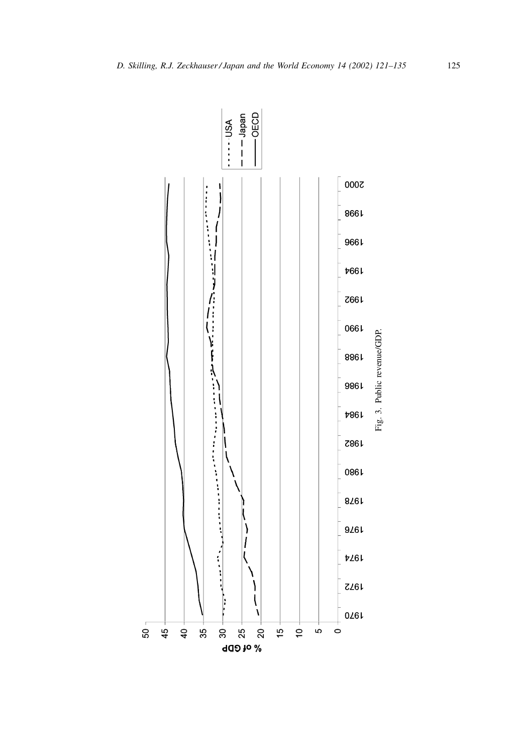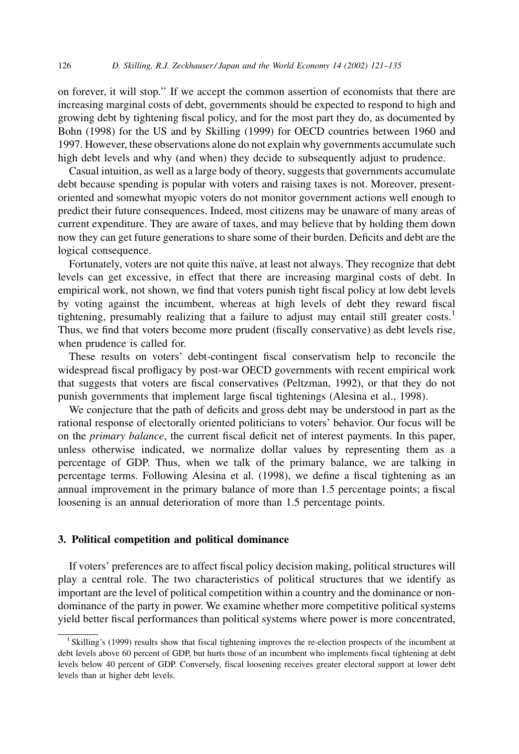126

on forever, it will stop." If we accept the common assertion of economists that there are increasing marginal costs of debt, governments should be expected to respond to high and growing debt by tightening fiscal policy, and for the most part they do, as documented by Bohn (1998) for the US and by Skilling (1999) for OECD countries between 1960 and 1997. However, these observations alone do not explain why governments accumulate such high debt levels and why (and when) they decide to subsequently adjust to prudence.

Casual intuition, as well as a large body of theory, suggests that governments accumulate debt because spending is popular with voters and raising taxes is not. Moreover, presentoriented and somewhat myopic voters do not monitor government actions well enough to predict their future consequences. Indeed, most citizens may be unaware of many areas of current expenditure. They are aware of taxes, and may believe that by holding them down now they can get future generations to share some of their burden. Deficits and debt are the logical consequence.

Fortunately, voters are not quite this naïve, at least not always. They recognize that debt levels can get excessive, in effect that there are increasing marginal costs of debt. In empirical work, not shown, we find that voters punish tight fiscal policy at low debt levels by voting against the incumbent, whereas at high levels of debt they reward fiscal tightening, presumably realizing that a failure to adjust may entail still greater  $costs<sup>1</sup>$ Thus, we find that voters become more prudent (fiscally conservative) as debt levels rise, when prudence is called for.

These results on voters' debt-contingent fiscal conservatism help to reconcile the widespread fiscal profligacy by post-war OECD governments with recent empirical work that suggests that voters are fiscal conservatives (Peltzman, 1992), or that they do not punish governments that implement large fiscal tightenings (Alesina et al., 1998).

We conjecture that the path of deficits and gross debt may be understood in part as the rational response of electorally oriented politicians to voters' behavior. Our focus will be on the *primary balance*, the current fiscal deficit net of interest payments. In this paper, unless otherwise indicated, we normalize dollar values by representing them as a percentage of GDP. Thus, when we talk of the primary balance, we are talking in percentage terms. Following Alesina et al. (1998), we define a fiscal tightening as an annual improvement in the primary balance of more than 1.5 percentage points; a fiscal loosening is an annual deterioration of more than 1.5 percentage points.

## 3. Political competition and political dominance

If voters' preferences are to affect fiscal policy decision making, political structures will play a central role. The two characteristics of political structures that we identify as important are the level of political competition within a country and the dominance or nondominance of the party in power. We examine whether more competitive political systems yield better fiscal performances than political systems where power is more concentrated,

<sup>&</sup>lt;sup>1</sup> Skilling's (1999) results show that fiscal tightening improves the re-election prospects of the incumbent at debt levels above 60 percent of GDP, but hurts those of an incumbent who implements fiscal tightening at debt levels below 40 percent of GDP. Conversely, fiscal loosening receives greater electoral support at lower debt levels than at higher debt levels.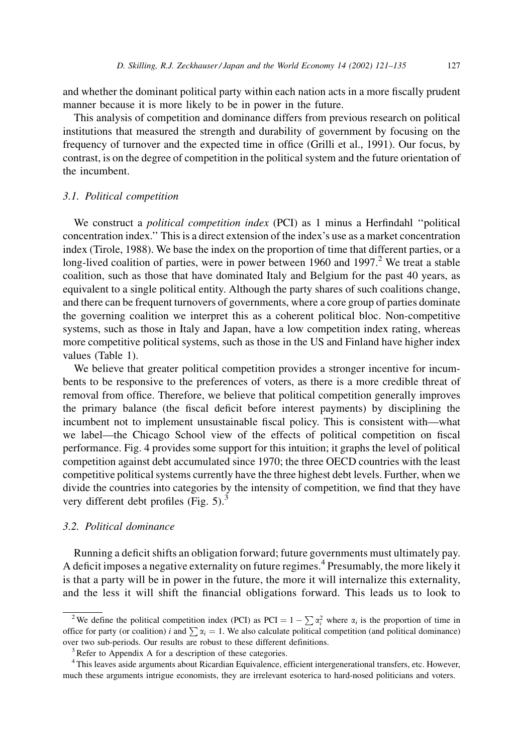and whether the dominant political party within each nation acts in a more fiscally prudent manner because it is more likely to be in power in the future.

This analysis of competition and dominance differs from previous research on political institutions that measured the strength and durability of government by focusing on the frequency of turnover and the expected time in office (Grilli et al., 1991). Our focus, by contrast, is on the degree of competition in the political system and the future orientation of the incumbent.

#### 3.1. Political competition

We construct a *political competition index* (PCI) as 1 minus a Herfindahl "political concentration index." This is a direct extension of the index's use as a market concentration index (Tirole, 1988). We base the index on the proportion of time that different parties, or a long-lived coalition of parties, were in power between 1960 and 1997.<sup>2</sup> We treat a stable coalition, such as those that have dominated Italy and Belgium for the past 40 years, as equivalent to a single political entity. Although the party shares of such coalitions change, and there can be frequent turnovers of governments, where a core group of parties dominate the governing coalition we interpret this as a coherent political bloc. Non-competitive systems, such as those in Italy and Japan, have a low competition index rating, whereas more competitive political systems, such as those in the US and Finland have higher index values (Table 1).

We believe that greater political competition provides a stronger incentive for incumbents to be responsive to the preferences of voters, as there is a more credible threat of removal from office. Therefore, we believe that political competition generally improves the primary balance (the fiscal deficit before interest payments) by disciplining the incumbent not to implement unsustainable fiscal policy. This is consistent with—what we label—the Chicago School view of the effects of political competition on fiscal performance. Fig. 4 provides some support for this intuition; it graphs the level of political competition against debt accumulated since 1970; the three OECD countries with the least competitive political systems currently have the three highest debt levels. Further, when we divide the countries into categories by the intensity of competition, we find that they have very different debt profiles (Fig.  $5$ ).<sup>3</sup>

## 3.2. Political dominance

Running a deficit shifts an obligation forward; future governments must ultimately pay. A deficit imposes a negative externality on future regimes.<sup>4</sup> Presumably, the more likely it is that a party will be in power in the future, the more it will internalize this externality, and the less it will shift the financial obligations forward. This leads us to look to

<sup>&</sup>lt;sup>2</sup>We define the political competition index (PCI) as PCI =  $1 - \sum \alpha_i^2$  where  $\alpha_i$  is the proportion of time in office for party (or coalition) i and  $\sum \alpha_i = 1$ . We also calculate political competition (and political dominance) over two sub-periods. Our results are robust to these different definitions.

<sup>&</sup>lt;sup>3</sup>Refer to Appendix A for a description of these categories.

<sup>&</sup>lt;sup>4</sup>This leaves aside arguments about Ricardian Equivalence, efficient intergenerational transfers, etc. However, much these arguments intrigue economists, they are irrelevant esoterica to hard-nosed politicians and voters.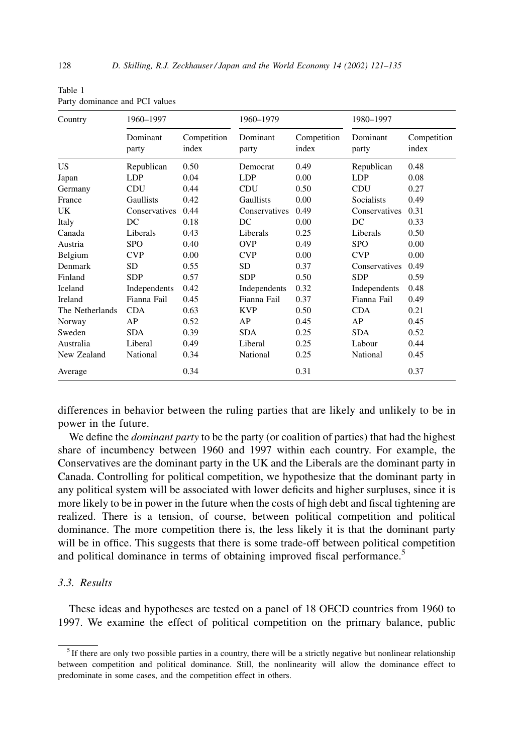| Country         | 1960-1997         |                      | 1960-1979         |                      | 1980-1997         |                      |
|-----------------|-------------------|----------------------|-------------------|----------------------|-------------------|----------------------|
|                 | Dominant<br>party | Competition<br>index | Dominant<br>party | Competition<br>index | Dominant<br>party | Competition<br>index |
| US              | Republican        | 0.50                 | Democrat          | 0.49                 | Republican        | 0.48                 |
| Japan           | LDP               | 0.04                 | <b>LDP</b>        | 0.00                 | <b>LDP</b>        | 0.08                 |
| Germany         | <b>CDU</b>        | 0.44                 | <b>CDU</b>        | 0.50                 | <b>CDU</b>        | 0.27                 |
| France          | Gaullists         | 0.42                 | Gaullists         | 0.00                 | <b>Socialists</b> | 0.49                 |
| UK              | Conservatives     | 0.44                 | Conservatives     | 0.49                 | Conservatives     | 0.31                 |
| Italy           | DC                | 0.18                 | DC                | 0.00                 | DC                | 0.33                 |
| Canada          | Liberals          | 0.43                 | Liberals          | 0.25                 | Liberals          | 0.50                 |
| Austria         | <b>SPO</b>        | 0.40                 | <b>OVP</b>        | 0.49                 | <b>SPO</b>        | 0.00                 |
| Belgium         | <b>CVP</b>        | 0.00                 | <b>CVP</b>        | 0.00                 | <b>CVP</b>        | 0.00                 |
| Denmark         | <b>SD</b>         | 0.55                 | SD.               | 0.37                 | Conservatives     | 0.49                 |
| Finland         | <b>SDP</b>        | 0.57                 | <b>SDP</b>        | 0.50                 | <b>SDP</b>        | 0.59                 |
| Iceland         | Independents      | 0.42                 | Independents      | 0.32                 | Independents      | 0.48                 |
| Ireland         | Fianna Fail       | 0.45                 | Fianna Fail       | 0.37                 | Fianna Fail       | 0.49                 |
| The Netherlands | <b>CDA</b>        | 0.63                 | <b>KVP</b>        | 0.50                 | <b>CDA</b>        | 0.21                 |
| Norway          | AP                | 0.52                 | AP                | 0.45                 | AP                | 0.45                 |
| Sweden          | <b>SDA</b>        | 0.39                 | <b>SDA</b>        | 0.25                 | <b>SDA</b>        | 0.52                 |
| Australia       | Liberal           | 0.49                 | Liberal           | 0.25                 | Labour            | 0.44                 |
| New Zealand     | National          | 0.34                 | National          | 0.25                 | National          | 0.45                 |
| Average         |                   | 0.34                 |                   | 0.31                 |                   | 0.37                 |

| Table 1 |                                |  |
|---------|--------------------------------|--|
|         | Party dominance and PCI values |  |

differences in behavior between the ruling parties that are likely and unlikely to be in power in the future.

We define the *dominant party* to be the party (or coalition of parties) that had the highest share of incumbency between 1960 and 1997 within each country. For example, the Conservatives are the dominant party in the UK and the Liberals are the dominant party in Canada. Controlling for political competition, we hypothesize that the dominant party in any political system will be associated with lower deficits and higher surpluses, since it is more likely to be in power in the future when the costs of high debt and fiscal tightening are realized. There is a tension, of course, between political competition and political dominance. The more competition there is, the less likely it is that the dominant party will be in office. This suggests that there is some trade-off between political competition and political dominance in terms of obtaining improved fiscal performance.<sup>5</sup>

# 3.3. Results

These ideas and hypotheses are tested on a panel of 18 OECD countries from 1960 to 1997. We examine the effect of political competition on the primary balance, public

 $<sup>5</sup>$  If there are only two possible parties in a country, there will be a strictly negative but nonlinear relationship</sup> between competition and political dominance. Still, the nonlinearity will allow the dominance effect to predominate in some cases, and the competition effect in others.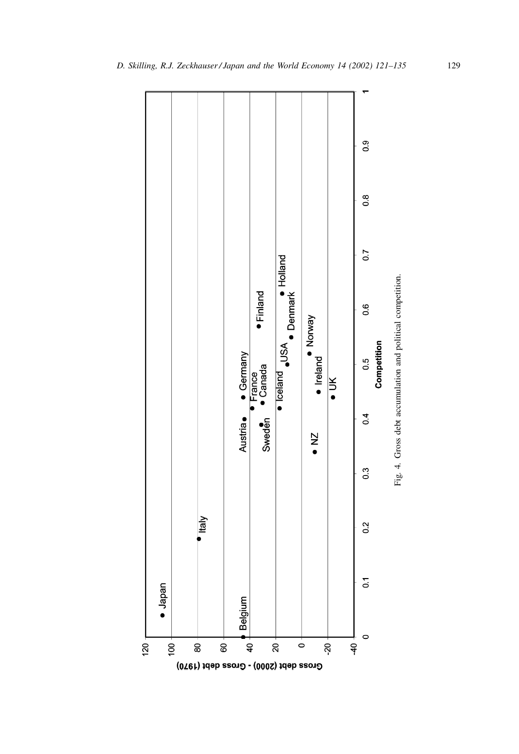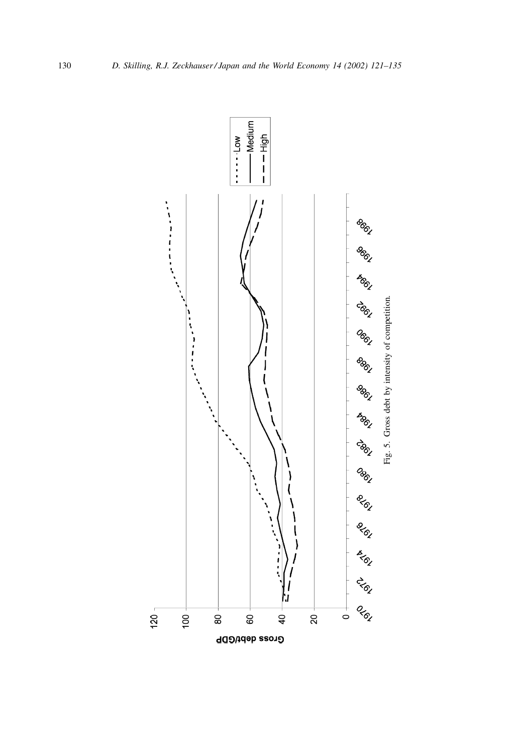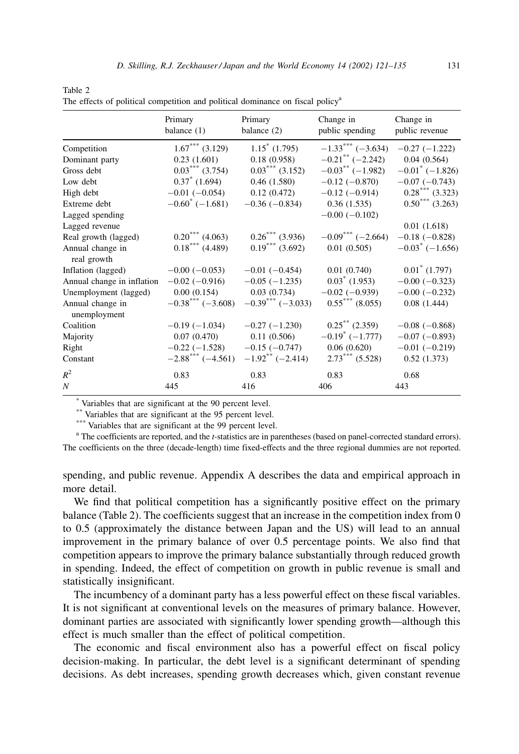|                                  | Primary<br>balance (1)          | Primary<br>balance (2)          | Change in<br>public spending   | Change in<br>public revenue |
|----------------------------------|---------------------------------|---------------------------------|--------------------------------|-----------------------------|
| Competition                      | $1.67***$ (3.129)               | $1.15^*$ (1.795)                | $-1.33***(-3.634)$             | $-0.27$ $(-1.222)$          |
| Dominant party                   | 0.23(1.601)                     | 0.18(0.958)                     | $-0.21$ ** (-2.242)            | 0.04(0.564)                 |
| Gross debt                       | $0.03***$ (3.754)               | $0.03***$ (3.152)               | $-0.03$ <sup>**</sup> (-1.982) | $-0.01^*$ (-1.826)          |
| Low debt                         | $0.37^*$ (1.694)                | 0.46(1.580)                     | $-0.12(-0.870)$                | $-0.07(-0.743)$             |
| High debt                        | $-0.01$ ( $-0.054$ )            | 0.12(0.472)                     | $-0.12$ ( $-0.914$ )           | $0.28***(3.323)$            |
| Extreme debt                     | $-0.60^{\circ}$ (-1.681)        | $-0.36(-0.834)$                 | 0.36(1.535)                    | $0.50***$ (3.263)           |
| Lagged spending                  |                                 |                                 | $-0.00$ $(-0.102)$             |                             |
| Lagged revenue                   |                                 |                                 |                                | 0.01(1.618)                 |
| Real growth (lagged)             | $0.20***$ (4.063)               | $0.26***$ (3.936)               | $-0.09***(-2.664)$             | $-0.18$ ( $-0.828$ )        |
| Annual change in<br>real growth  | $0.18***$ (4.489)               | $0.19***$ (3.692)               | 0.01(0.505)                    | $-0.03^{\degree}$ (-1.656)  |
| Inflation (lagged)               | $-0.00$ ( $-0.053$ )            | $-0.01$ ( $-0.454$ )            | 0.01(0.740)                    | $0.01^*$ (1.797)            |
| Annual change in inflation       | $-0.02$ ( $-0.916$ )            | $-0.05$ ( $-1.235$ )            | $0.03^*$ (1.953)               | $-0.00$ $(-0.323)$          |
| Unemployment (lagged)            | 0.00(0.154)                     | 0.03(0.734)                     | $-0.02$ ( $-0.939$ )           | $-0.00$ $(-0.232)$          |
| Annual change in<br>unemployment | $-0.38$ <sup>***</sup> (-3.608) | $-0.39$ <sup>***</sup> (-3.033) | $0.55***$ (8.055)              | 0.08(1.444)                 |
| Coalition                        | $-0.19(-1.034)$                 | $-0.27(-1.230)$                 | $0.25$ ** (2.359)              | $-0.08$ ( $-0.868$ )        |
| Majority                         | 0.07(0.470)                     | 0.11(0.506)                     | $-0.19^{\circ}$ (-1.777)       | $-0.07(-0.893)$             |
| Right                            | $-0.22$ ( $-1.528$ )            | $-0.15(-0.747)$                 | 0.06(0.620)                    | $-0.01$ $(-0.219)$          |
| Constant                         | $-2.88$ <sup>***</sup> (-4.561) | $-1.92$ <sup>**</sup> (-2.414)  | $2.73***$ (5.528)              | 0.52(1.373)                 |
| $R^2$                            | 0.83                            | 0.83                            | 0.83                           | 0.68                        |
| $\overline{N}$                   | 445                             | 416                             | 406                            | 443                         |

| 10010L                                                                                     |  |  |  |
|--------------------------------------------------------------------------------------------|--|--|--|
| The effects of political competition and political dominance on fiscal policy <sup>a</sup> |  |  |  |

Table  $2$ 

\* Variables that are significant at the 90 percent level.

<sup>\*\*</sup>Variables that are significant at the 95 percent level.<sup>\*\*</sup>

\*\*\* Variables that are significant at the 99 percent level.

<sup>a</sup> The coefficients are reported, and the *t*-statistics are in parentheses (based on panel-corrected standard errors). The coefficients on the three (decade-length) time fixed-effects and the three regional dummies are not reported.

spending, and public revenue. Appendix A describes the data and empirical approach in more detail.

We find that political competition has a significantly positive effect on the primary balance (Table 2). The coefficients suggest that an increase in the competition index from 0 to 0.5 (approximately the distance between Japan and the US) will lead to an annual improvement in the primary balance of over 0.5 percentage points. We also find that competition appears to improve the primary balance substantially through reduced growth in spending. Indeed, the effect of competition on growth in public revenue is small and statistically insignificant.

The incumbency of a dominant party has a less powerful effect on these fiscal variables. It is not significant at conventional levels on the measures of primary balance. However, dominant parties are associated with significantly lower spending growth—although this effect is much smaller than the effect of political competition.

The economic and fiscal environment also has a powerful effect on fiscal policy decision-making. In particular, the debt level is a significant determinant of spending decisions. As debt increases, spending growth decreases which, given constant revenue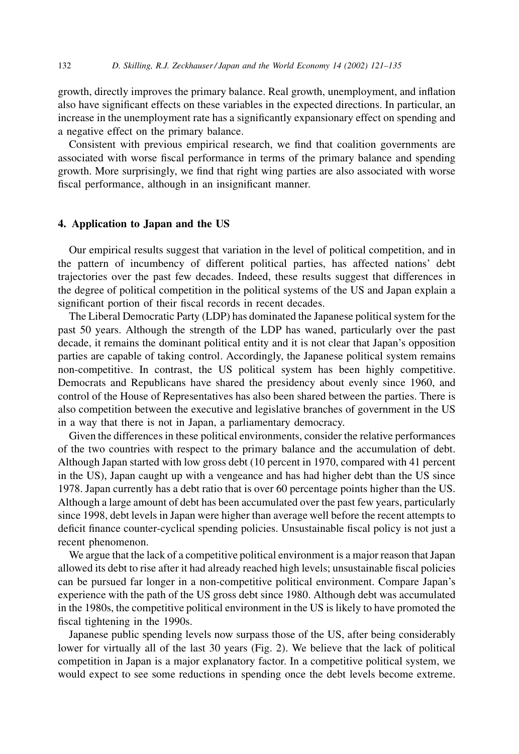growth, directly improves the primary balance. Real growth, unemployment, and inflation also have significant effects on these variables in the expected directions. In particular, an increase in the unemployment rate has a significantly expansionary effect on spending and a negative effect on the primary balance.

Consistent with previous empirical research, we find that coalition governments are associated with worse fiscal performance in terms of the primary balance and spending growth. More surprisingly, we find that right wing parties are also associated with worse fiscal performance, although in an insignificant manner.

## 4. Application to Japan and the US

Our empirical results suggest that variation in the level of political competition, and in the pattern of incumbency of different political parties, has affected nations' debt trajectories over the past few decades. Indeed, these results suggest that differences in the degree of political competition in the political systems of the US and Japan explain a significant portion of their fiscal records in recent decades.

The Liberal Democratic Party (LDP) has dominated the Japanese political system for the past 50 years. Although the strength of the LDP has waned, particularly over the past decade, it remains the dominant political entity and it is not clear that Japan's opposition parties are capable of taking control. Accordingly, the Japanese political system remains non-competitive. In contrast, the US political system has been highly competitive. Democrats and Republicans have shared the presidency about evenly since 1960, and control of the House of Representatives has also been shared between the parties. There is also competition between the executive and legislative branches of government in the US in a way that there is not in Japan, a parliamentary democracy.

Given the differences in these political environments, consider the relative performances of the two countries with respect to the primary balance and the accumulation of debt. Although Japan started with low gross debt (10 percent in 1970, compared with 41 percent in the US), Japan caught up with a vengeance and has had higher debt than the US since 1978. Japan currently has a debt ratio that is over 60 percentage points higher than the US. Although a large amount of debt has been accumulated over the past few years, particularly since 1998, debt levels in Japan were higher than average well before the recent attempts to deficit finance counter-cyclical spending policies. Unsustainable fiscal policy is not just a recent phenomenon.

We argue that the lack of a competitive political environment is a major reason that Japan allowed its debt to rise after it had already reached high levels; unsustainable fiscal policies can be pursued far longer in a non-competitive political environment. Compare Japan's experience with the path of the US gross debt since 1980. Although debt was accumulated in the 1980s, the competitive political environment in the US is likely to have promoted the fiscal tightening in the 1990s.

Japanese public spending levels now surpass those of the US, after being considerably lower for virtually all of the last 30 years (Fig. 2). We believe that the lack of political competition in Japan is a major explanatory factor. In a competitive political system, we would expect to see some reductions in spending once the debt levels become extreme.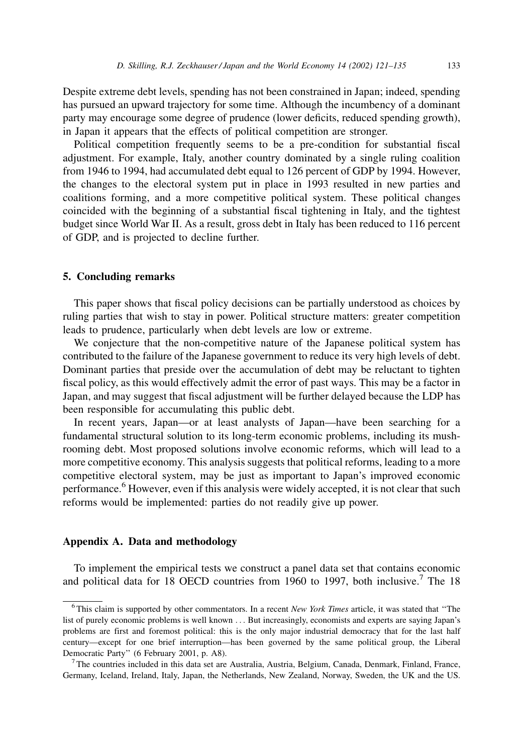Despite extreme debt levels, spending has not been constrained in Japan; indeed, spending has pursued an upward trajectory for some time. Although the incumbency of a dominant party may encourage some degree of prudence (lower deficits, reduced spending growth), in Japan it appears that the effects of political competition are stronger.

Political competition frequently seems to be a pre-condition for substantial fiscal adjustment. For example, Italy, another country dominated by a single ruling coalition from 1946 to 1994, had accumulated debt equal to 126 percent of GDP by 1994. However, the changes to the electoral system put in place in 1993 resulted in new parties and coalitions forming, and a more competitive political system. These political changes coincided with the beginning of a substantial fiscal tightening in Italy, and the tightest budget since World War II. As a result, gross debt in Italy has been reduced to 116 percent of GDP, and is projected to decline further.

#### 5. Concluding remarks

This paper shows that fiscal policy decisions can be partially understood as choices by ruling parties that wish to stay in power. Political structure matters: greater competition leads to prudence, particularly when debt levels are low or extreme.

We conjecture that the non-competitive nature of the Japanese political system has contributed to the failure of the Japanese government to reduce its very high levels of debt. Dominant parties that preside over the accumulation of debt may be reluctant to tighten fiscal policy, as this would effectively admit the error of past ways. This may be a factor in Japan, and may suggest that fiscal adjustment will be further delayed because the LDP has been responsible for accumulating this public debt.

In recent years, Japan—or at least analysts of Japan—have been searching for a fundamental structural solution to its long-term economic problems, including its mushrooming debt. Most proposed solutions involve economic reforms, which will lead to a more competitive economy. This analysis suggests that political reforms, leading to a more competitive electoral system, may be just as important to Japan's improved economic performance.<sup>6</sup> However, even if this analysis were widely accepted, it is not clear that such reforms would be implemented: parties do not readily give up power.

# Appendix A. Data and methodology

To implement the empirical tests we construct a panel data set that contains economic and political data for 18 OECD countries from 1960 to 1997, both inclusive.<sup>7</sup> The 18

 $6$  This claim is supported by other commentators. In a recent New York Times article, it was stated that "The list of purely economic problems is well known ... But increasingly, economists and experts are saying Japan's problems are first and foremost political: this is the only major industrial democracy that for the last half century—except for one brief interruption—has been governed by the same political group, the Liberal Democratic Party" (6 February 2001, p. A8).

<sup>&</sup>lt;sup>7</sup>The countries included in this data set are Australia, Austria, Belgium, Canada, Denmark, Finland, France, Germany, Iceland, Ireland, Italy, Japan, the Netherlands, New Zealand, Norway, Sweden, the UK and the US.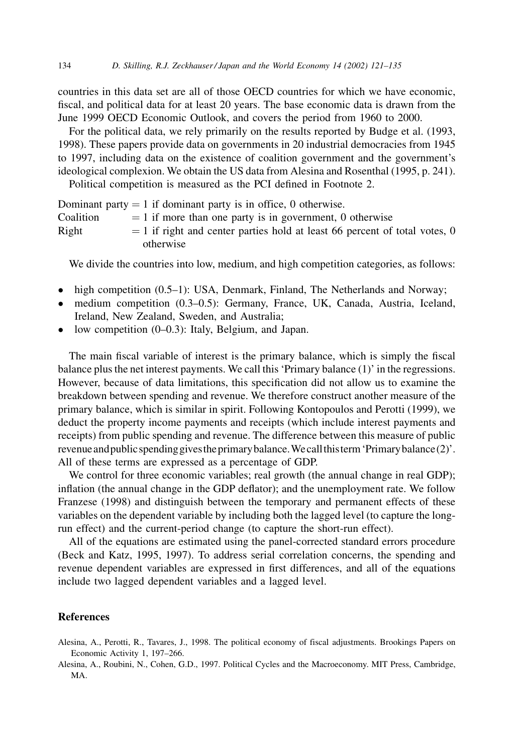countries in this data set are all of those OECD countries for which we have economic. fiscal, and political data for at least 20 years. The base economic data is drawn from the June 1999 OECD Economic Outlook, and covers the period from 1960 to 2000.

For the political data, we rely primarily on the results reported by Budge et al. (1993, 1998). These papers provide data on governments in 20 industrial democracies from 1945 to 1997, including data on the existence of coalition government and the government's ideological complexion. We obtain the US data from Alesina and Rosenthal (1995, p. 241).

Political competition is measured as the PCI defined in Footnote 2.

|           | Dominant party $= 1$ if dominant party is in office, 0 otherwise.            |
|-----------|------------------------------------------------------------------------------|
| Coalition | $= 1$ if more than one party is in government, 0 otherwise                   |
| Right     | $=$ 1 if right and center parties hold at least 66 percent of total votes, 0 |
|           | otherwise                                                                    |

We divide the countries into low, medium, and high competition categories, as follows:

- $\bullet$  high competition (0.5–1): USA, Denmark, Finland, The Netherlands and Norway;
- medium competition (0.3–0.5): Germany, France, UK, Canada, Austria, Iceland, Ireland, New Zealand, Sweden, and Australia;
- low competition  $(0-0.3)$ : Italy, Belgium, and Japan.

The main fiscal variable of interest is the primary balance, which is simply the fiscal balance plus the net interest payments. We call this 'Primary balance (1)' in the regressions. However, because of data limitations, this specification did not allow us to examine the breakdown between spending and revenue. We therefore construct another measure of the primary balance, which is similar in spirit. Following Kontopoulos and Perotti (1999), we deduct the property income payments and receipts (which include interest payments and receipts) from public spending and revenue. The difference between this measure of public revenue and public spending gives the primary balance. We call this term 'Primary balance  $(2)$ '. All of these terms are expressed as a percentage of GDP.

We control for three economic variables; real growth (the annual change in real GDP); inflation (the annual change in the GDP deflator); and the unemployment rate. We follow Franzese (1998) and distinguish between the temporary and permanent effects of these variables on the dependent variable by including both the lagged level (to capture the longrun effect) and the current-period change (to capture the short-run effect).

All of the equations are estimated using the panel-corrected standard errors procedure (Beck and Katz, 1995, 1997). To address serial correlation concerns, the spending and revenue dependent variables are expressed in first differences, and all of the equations include two lagged dependent variables and a lagged level.

# **References**

- Alesina, A., Perotti, R., Tavares, J., 1998. The political economy of fiscal adjustments. Brookings Papers on Economic Activity 1, 197-266.
- Alesina, A., Roubini, N., Cohen, G.D., 1997. Political Cycles and the Macroeconomy. MIT Press, Cambridge, MA.